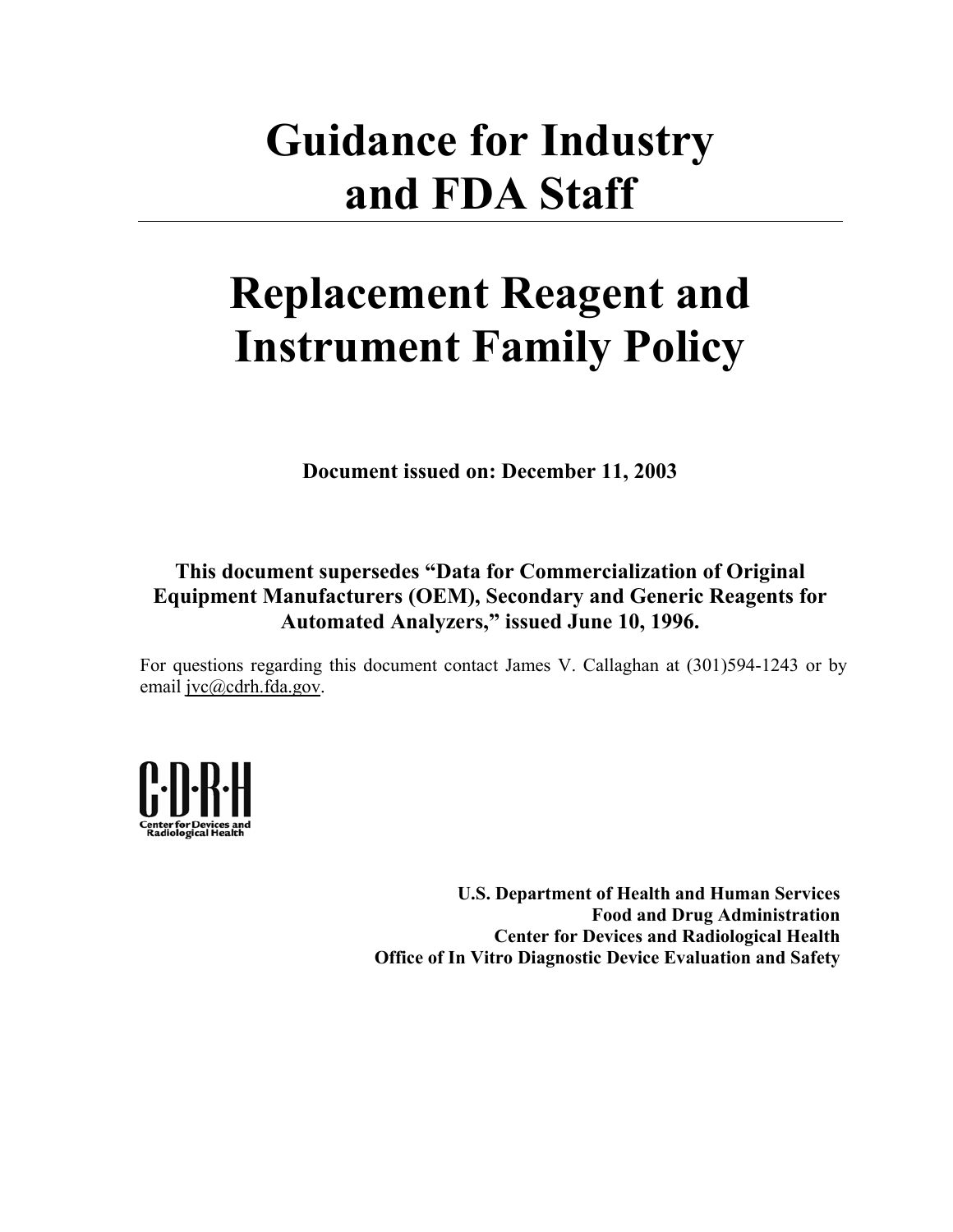# **Guidance for Industry and FDA Staff**

# **Replacement Reagent and Instrument Family Policy**

**Document issued on: December 11, 2003** 

#### **This document supersedes "Data for Commercialization of Original Equipment Manufacturers (OEM), Secondary and Generic Reagents for Automated Analyzers," issued June 10, 1996.**

For questions regarding this document contact James V. Callaghan at (301)594-1243 or by email jvc@cdrh.fda.gov.



**U.S. Department of Health and Human Services Food and Drug Administration Center for Devices and Radiological Health Office of In Vitro Diagnostic Device Evaluation and Safety**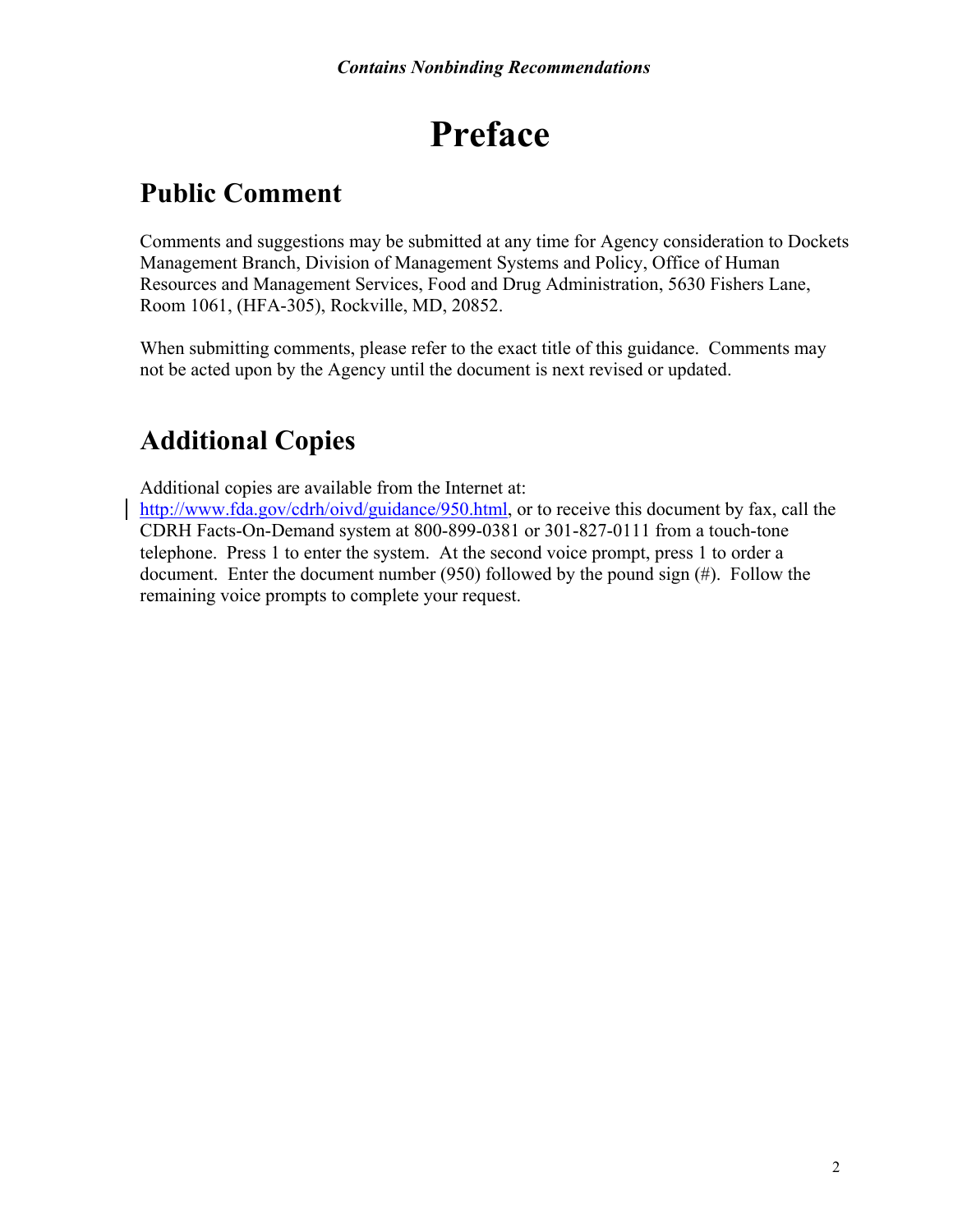## **Preface**

## **Public Comment**

Comments and suggestions may be submitted at any time for Agency consideration to Dockets Management Branch, Division of Management Systems and Policy, Office of Human Resources and Management Services, Food and Drug Administration, 5630 Fishers Lane, Room 1061, (HFA-305), Rockville, MD, 20852.

When submitting comments, please refer to the exact title of this guidance. Comments may not be acted upon by the Agency until the document is next revised or updated.

## **Additional Copies**

Additional copies are available from the Internet at:

[http://www.fda.gov/cdrh/oivd/guidance/950.html,](http://www.fda.gov/cdrh/oivd/guidance/950.html) or to receive this document by fax, call the CDRH Facts-On-Demand system at 800-899-0381 or 301-827-0111 from a touch-tone telephone. Press 1 to enter the system. At the second voice prompt, press 1 to order a document. Enter the document number (950) followed by the pound sign (#). Follow the remaining voice prompts to complete your request.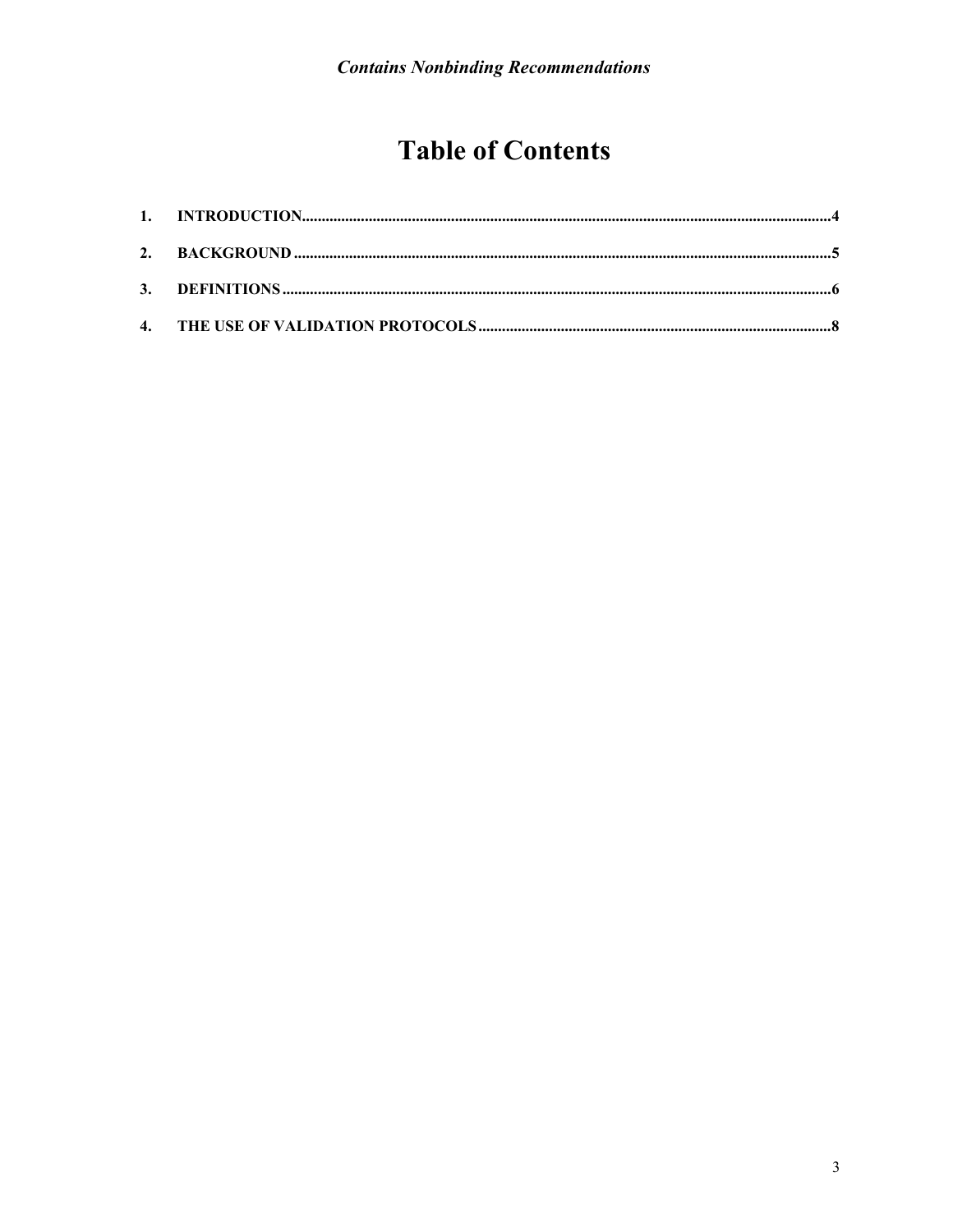## **Table of Contents**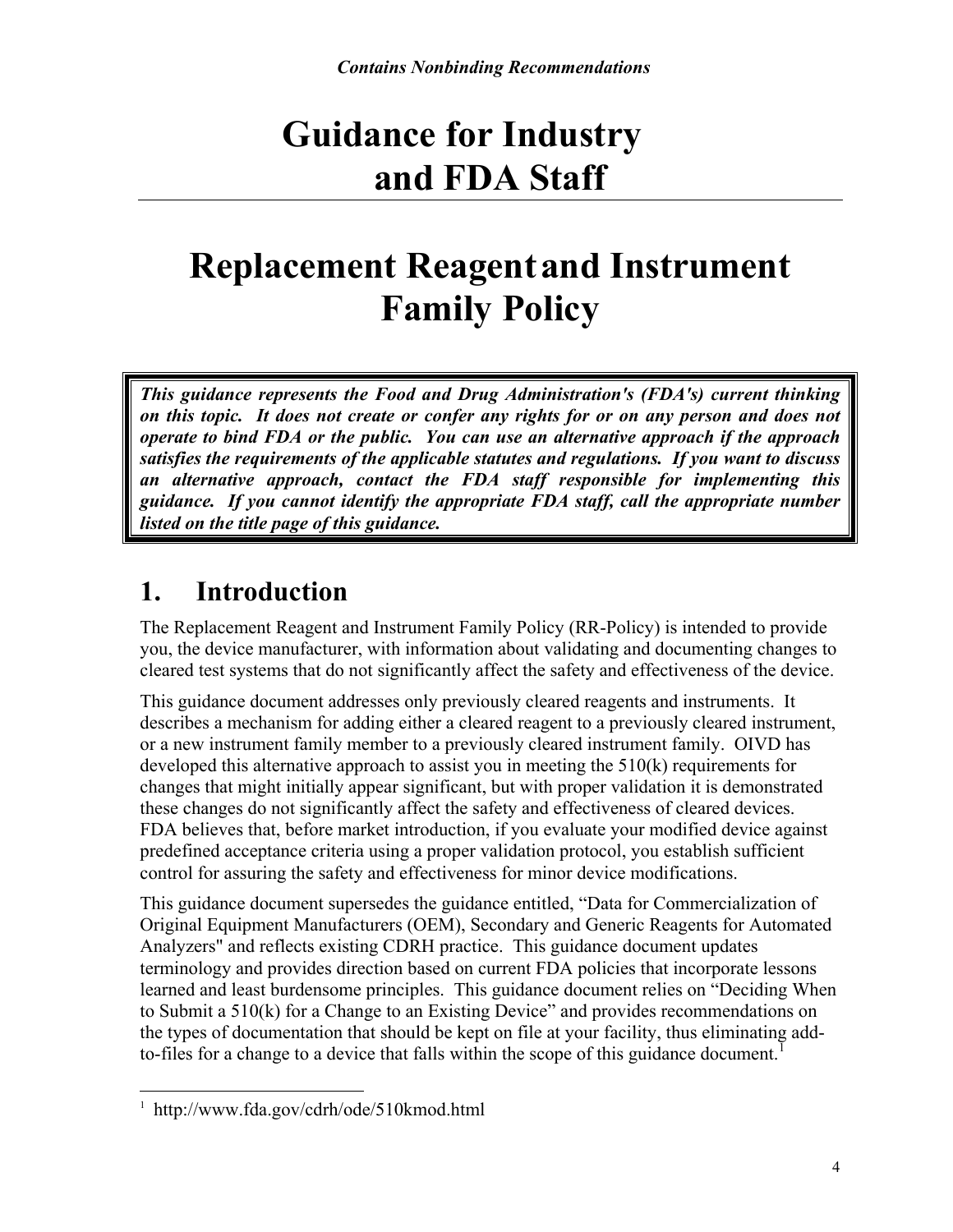## **Guidance for Industry and FDA Staff**

## **Replacement Reagentand Instrument Family Policy**

*This guidance represents the Food and Drug Administration's (FDA's) current thinking on this topic. It does not create or confer any rights for or on any person and does not operate to bind FDA or the public. You can use an alternative approach if the approach satisfies the requirements of the applicable statutes and regulations. If you want to discuss an alternative approach, contact the FDA staff responsible for implementing this guidance. If you cannot identify the appropriate FDA staff, call the appropriate number listed on the title page of this guidance.* 

## <span id="page-3-0"></span>**1. Introduction**

The Replacement Reagent and Instrument Family Policy (RR-Policy) is intended to provide you, the device manufacturer, with information about validating and documenting changes to cleared test systems that do not significantly affect the safety and effectiveness of the device.

This guidance document addresses only previously cleared reagents and instruments. It describes a mechanism for adding either a cleared reagent to a previously cleared instrument, or a new instrument family member to a previously cleared instrument family. OIVD has developed this alternative approach to assist you in meeting the 510(k) requirements for changes that might initially appear significant, but with proper validation it is demonstrated these changes do not significantly affect the safety and effectiveness of cleared devices. FDA believes that, before market introduction, if you evaluate your modified device against predefined acceptance criteria using a proper validation protocol, you establish sufficient control for assuring the safety and effectiveness for minor device modifications.

This guidance document supersedes the guidance entitled, "Data for Commercialization of Original Equipment Manufacturers (OEM), Secondary and Generic Reagents for Automated Analyzers" and reflects existing CDRH practice. This guidance document updates terminology and provides direction based on current FDA policies that incorporate lessons learned and least burdensome principles. This guidance document relies on "Deciding When to Submit a 510(k) for a Change to an Existing Device" and provides recommendations on the types of documentation that should be kept on file at your facility, thus eliminating add-to-files for a change to a device that falls within the scope of this guidance document.<sup>[1](#page-3-1)</sup>

<span id="page-3-1"></span> $\overline{a}$ 1 http://www.fda.gov/cdrh/ode/510kmod.html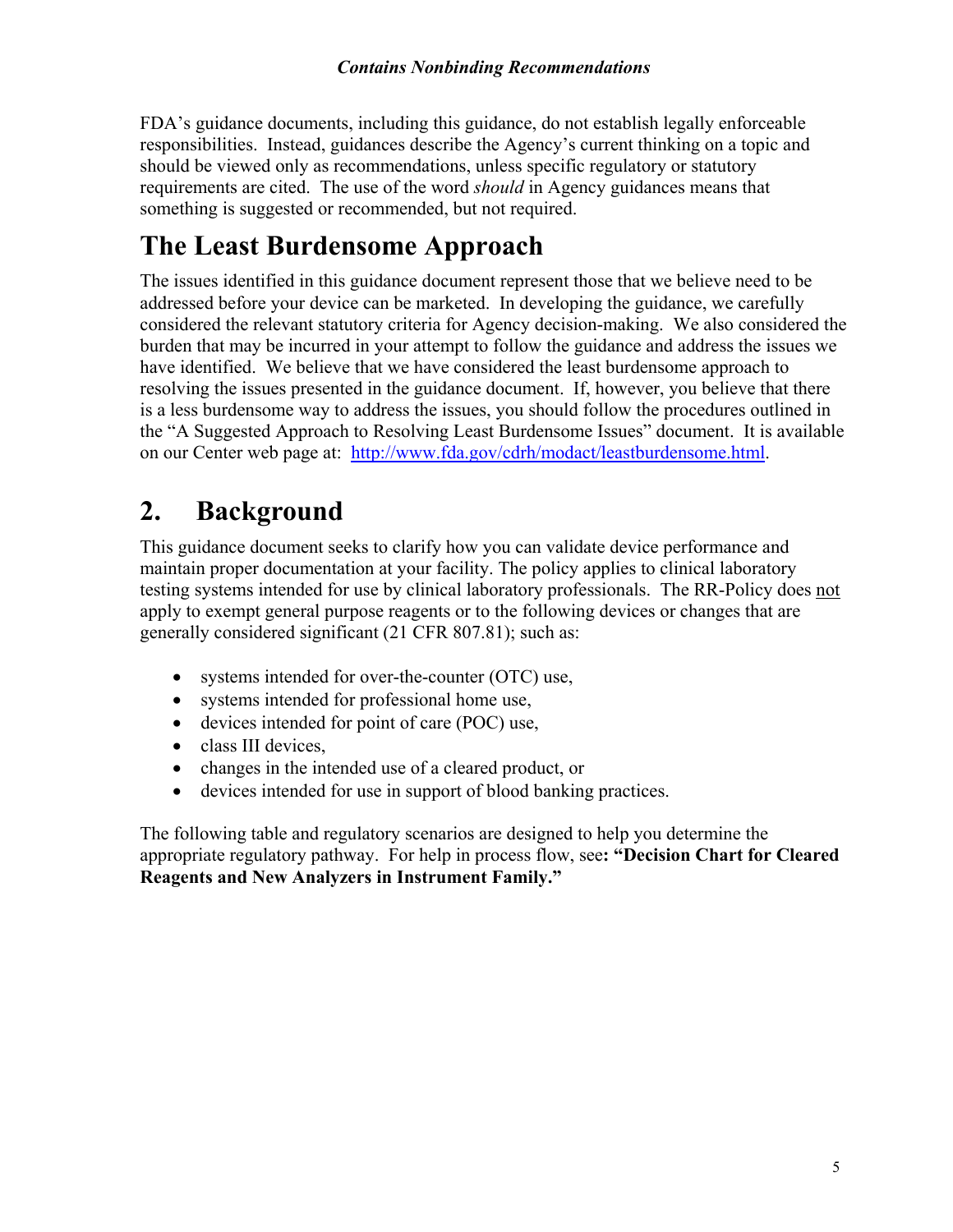FDA's guidance documents, including this guidance, do not establish legally enforceable responsibilities. Instead, guidances describe the Agency's current thinking on a topic and should be viewed only as recommendations, unless specific regulatory or statutory requirements are cited. The use of the word *should* in Agency guidances means that something is suggested or recommended, but not required.

## **The Least Burdensome Approach**

The issues identified in this guidance document represent those that we believe need to be addressed before your device can be marketed. In developing the guidance, we carefully considered the relevant statutory criteria for Agency decision-making. We also considered the burden that may be incurred in your attempt to follow the guidance and address the issues we have identified. We believe that we have considered the least burdensome approach to resolving the issues presented in the guidance document. If, however, you believe that there is a less burdensome way to address the issues, you should follow the procedures outlined in the "A Suggested Approach to Resolving Least Burdensome Issues" document. It is available on our Center web page at: [http://www.fda.gov/cdrh/modact/leastburdensome.html.](http://www.fda.gov/cdrh/modact/leastburdensome.html)

## <span id="page-4-0"></span>**2. Background**

This guidance document seeks to clarify how you can validate device performance and maintain proper documentation at your facility. The policy applies to clinical laboratory testing systems intended for use by clinical laboratory professionals. The RR-Policy does not apply to exempt general purpose reagents or to the following devices or changes that are generally considered significant (21 CFR 807.81); such as:

- systems intended for over-the-counter (OTC) use,
- systems intended for professional home use,
- devices intended for point of care (POC) use,
- class III devices,
- changes in the intended use of a cleared product, or
- devices intended for use in support of blood banking practices.

The following table and regulatory scenarios are designed to help you determine the appropriate regulatory pathway. For help in process flow, see**: "Decision Chart for Cleared Reagents and New Analyzers in Instrument Family."**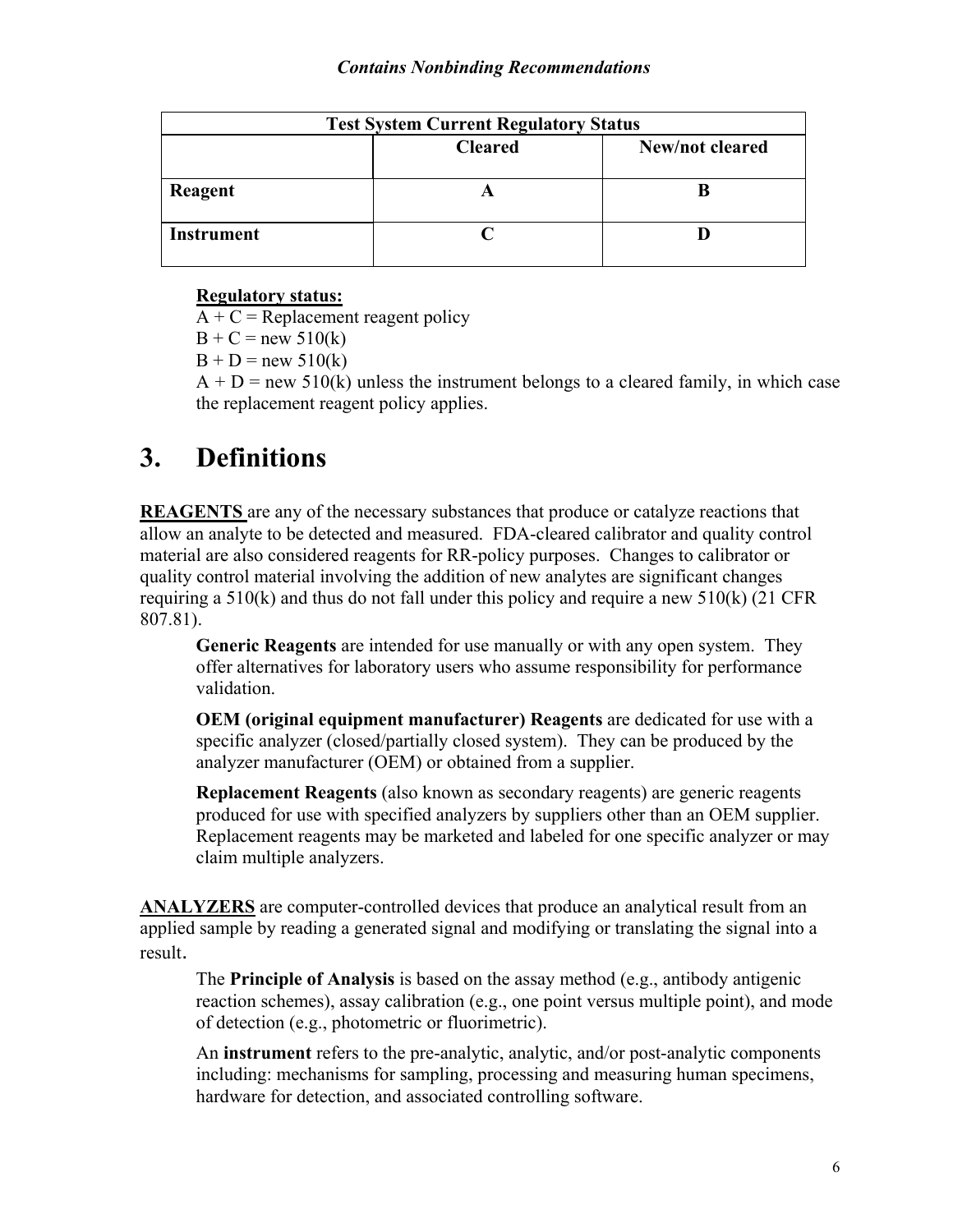| <b>Test System Current Regulatory Status</b> |                |                 |  |  |  |  |
|----------------------------------------------|----------------|-----------------|--|--|--|--|
|                                              | <b>Cleared</b> | New/not cleared |  |  |  |  |
| Reagent                                      |                |                 |  |  |  |  |
| <b>Instrument</b>                            |                |                 |  |  |  |  |

#### **Regulatory status:**

 $A + C$  = Replacement reagent policy

 $B + C = new 510(k)$ 

 $B + D = new 510(k)$ 

 $A + D =$  new 510(k) unless the instrument belongs to a cleared family, in which case the replacement reagent policy applies.

### <span id="page-5-0"></span>**3. Definitions**

**REAGENTS** are any of the necessary substances that produce or catalyze reactions that allow an analyte to be detected and measured. FDA-cleared calibrator and quality control material are also considered reagents for RR-policy purposes. Changes to calibrator or quality control material involving the addition of new analytes are significant changes requiring a  $510(k)$  and thus do not fall under this policy and require a new  $510(k)$  (21 CFR 807.81).

**Generic Reagents** are intended for use manually or with any open system. They offer alternatives for laboratory users who assume responsibility for performance validation.

**OEM (original equipment manufacturer) Reagents** are dedicated for use with a specific analyzer (closed/partially closed system). They can be produced by the analyzer manufacturer (OEM) or obtained from a supplier.

**Replacement Reagents** (also known as secondary reagents) are generic reagents produced for use with specified analyzers by suppliers other than an OEM supplier. Replacement reagents may be marketed and labeled for one specific analyzer or may claim multiple analyzers.

**ANALYZERS** are computer-controlled devices that produce an analytical result from an applied sample by reading a generated signal and modifying or translating the signal into a result.

The **Principle of Analysis** is based on the assay method (e.g., antibody antigenic reaction schemes), assay calibration (e.g., one point versus multiple point), and mode of detection (e.g., photometric or fluorimetric).

An **instrument** refers to the pre-analytic, analytic, and/or post-analytic components including: mechanisms for sampling, processing and measuring human specimens, hardware for detection, and associated controlling software.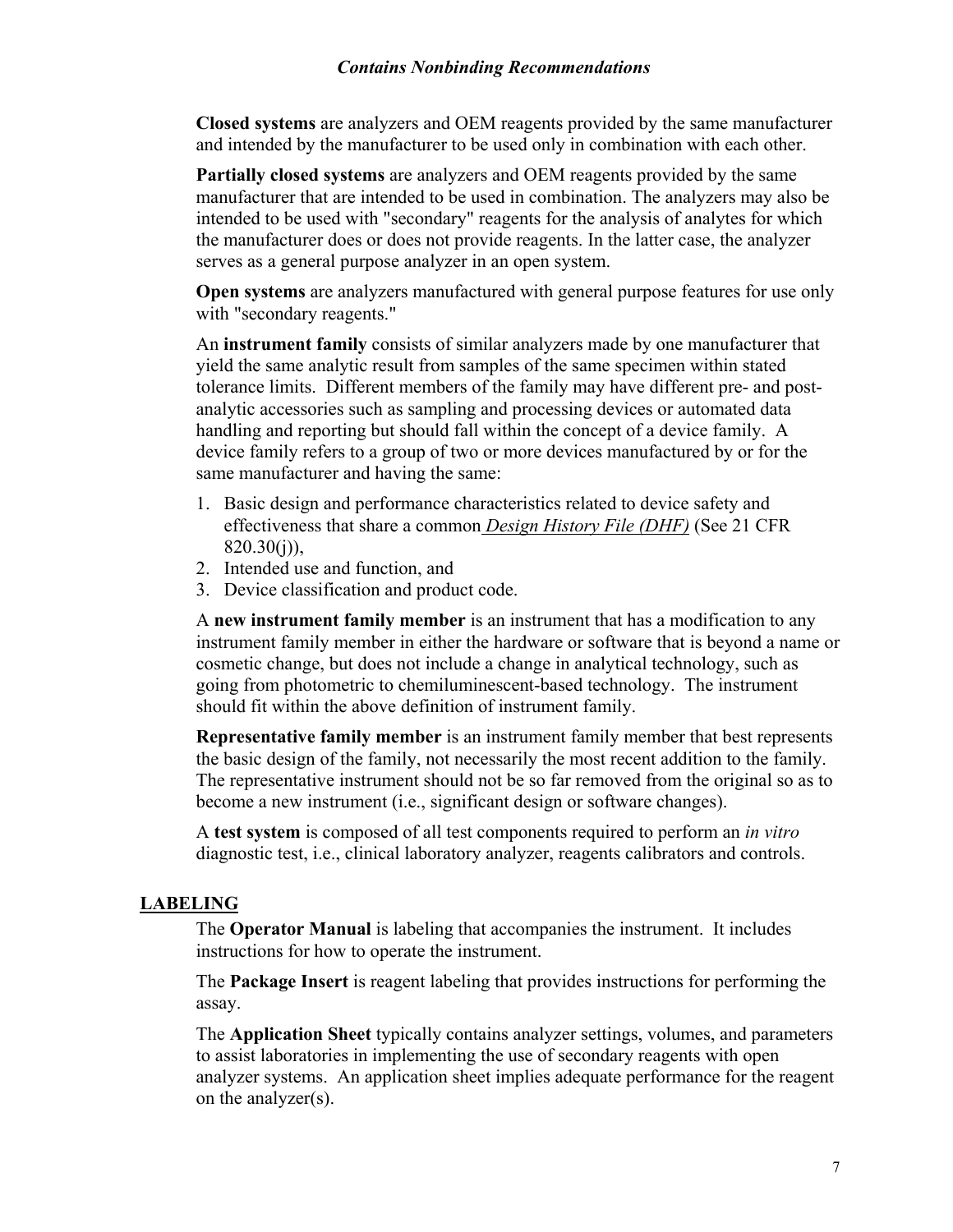#### *Contains Nonbinding Recommendations*

**Closed systems** are analyzers and OEM reagents provided by the same manufacturer and intended by the manufacturer to be used only in combination with each other.

**Partially closed systems** are analyzers and OEM reagents provided by the same manufacturer that are intended to be used in combination. The analyzers may also be intended to be used with "secondary" reagents for the analysis of analytes for which the manufacturer does or does not provide reagents. In the latter case, the analyzer serves as a general purpose analyzer in an open system.

**Open systems** are analyzers manufactured with general purpose features for use only with "secondary reagents."

An **instrument family** consists of similar analyzers made by one manufacturer that yield the same analytic result from samples of the same specimen within stated tolerance limits. Different members of the family may have different pre- and postanalytic accessories such as sampling and processing devices or automated data handling and reporting but should fall within the concept of a device family. A device family refers to a group of two or more devices manufactured by or for the same manufacturer and having the same:

- 1. Basic design and performance characteristics related to device safety and effectiveness that share a common *Design History File (DHF)* (See 21 CFR  $820.30(i)$ ),
- 2. Intended use and function, and
- 3. Device classification and product code.

A **new instrument family member** is an instrument that has a modification to any instrument family member in either the hardware or software that is beyond a name or cosmetic change, but does not include a change in analytical technology, such as going from photometric to chemiluminescent-based technology. The instrument should fit within the above definition of instrument family.

**Representative family member** is an instrument family member that best represents the basic design of the family, not necessarily the most recent addition to the family. The representative instrument should not be so far removed from the original so as to become a new instrument (i.e., significant design or software changes).

A **test system** is composed of all test components required to perform an *in vitro* diagnostic test, i.e., clinical laboratory analyzer, reagents calibrators and controls.

#### **LABELING**

The **Operator Manual** is labeling that accompanies the instrument. It includes instructions for how to operate the instrument.

The **Package Insert** is reagent labeling that provides instructions for performing the assay.

The **Application Sheet** typically contains analyzer settings, volumes, and parameters to assist laboratories in implementing the use of secondary reagents with open analyzer systems. An application sheet implies adequate performance for the reagent on the analyzer(s).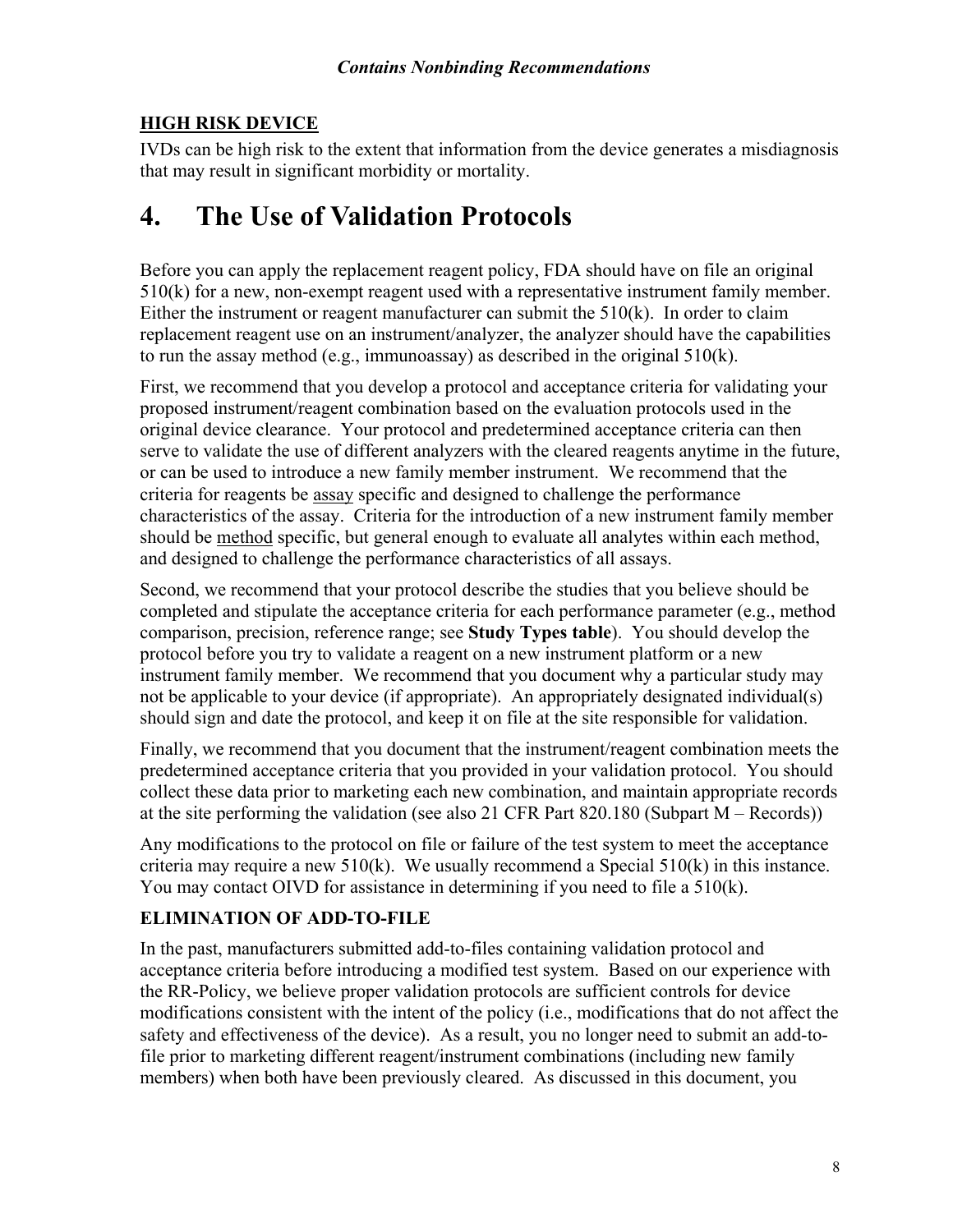#### **HIGH RISK DEVICE**

IVDs can be high risk to the extent that information from the device generates a misdiagnosis that may result in significant morbidity or mortality.

### <span id="page-7-0"></span>**4. The Use of Validation Protocols**

Before you can apply the replacement reagent policy, FDA should have on file an original 510(k) for a new, non-exempt reagent used with a representative instrument family member. Either the instrument or reagent manufacturer can submit the  $510(k)$ . In order to claim replacement reagent use on an instrument/analyzer, the analyzer should have the capabilities to run the assay method (e.g., immunoassay) as described in the original  $510(k)$ .

First, we recommend that you develop a protocol and acceptance criteria for validating your proposed instrument/reagent combination based on the evaluation protocols used in the original device clearance. Your protocol and predetermined acceptance criteria can then serve to validate the use of different analyzers with the cleared reagents anytime in the future, or can be used to introduce a new family member instrument. We recommend that the criteria for reagents be assay specific and designed to challenge the performance characteristics of the assay. Criteria for the introduction of a new instrument family member should be method specific, but general enough to evaluate all analytes within each method, and designed to challenge the performance characteristics of all assays.

Second, we recommend that your protocol describe the studies that you believe should be completed and stipulate the acceptance criteria for each performance parameter (e.g., method comparison, precision, reference range; see **Study Types table**). You should develop the protocol before you try to validate a reagent on a new instrument platform or a new instrument family member. We recommend that you document why a particular study may not be applicable to your device (if appropriate). An appropriately designated individual(s) should sign and date the protocol, and keep it on file at the site responsible for validation.

Finally, we recommend that you document that the instrument/reagent combination meets the predetermined acceptance criteria that you provided in your validation protocol. You should collect these data prior to marketing each new combination, and maintain appropriate records at the site performing the validation (see also 21 CFR Part 820.180 (Subpart M – Records))

Any modifications to the protocol on file or failure of the test system to meet the acceptance criteria may require a new  $510(k)$ . We usually recommend a Special  $510(k)$  in this instance. You may contact OIVD for assistance in determining if you need to file a 510(k).

#### **ELIMINATION OF ADD-TO-FILE**

In the past, manufacturers submitted add-to-files containing validation protocol and acceptance criteria before introducing a modified test system. Based on our experience with the RR-Policy, we believe proper validation protocols are sufficient controls for device modifications consistent with the intent of the policy (i.e., modifications that do not affect the safety and effectiveness of the device). As a result, you no longer need to submit an add-tofile prior to marketing different reagent/instrument combinations (including new family members) when both have been previously cleared. As discussed in this document, you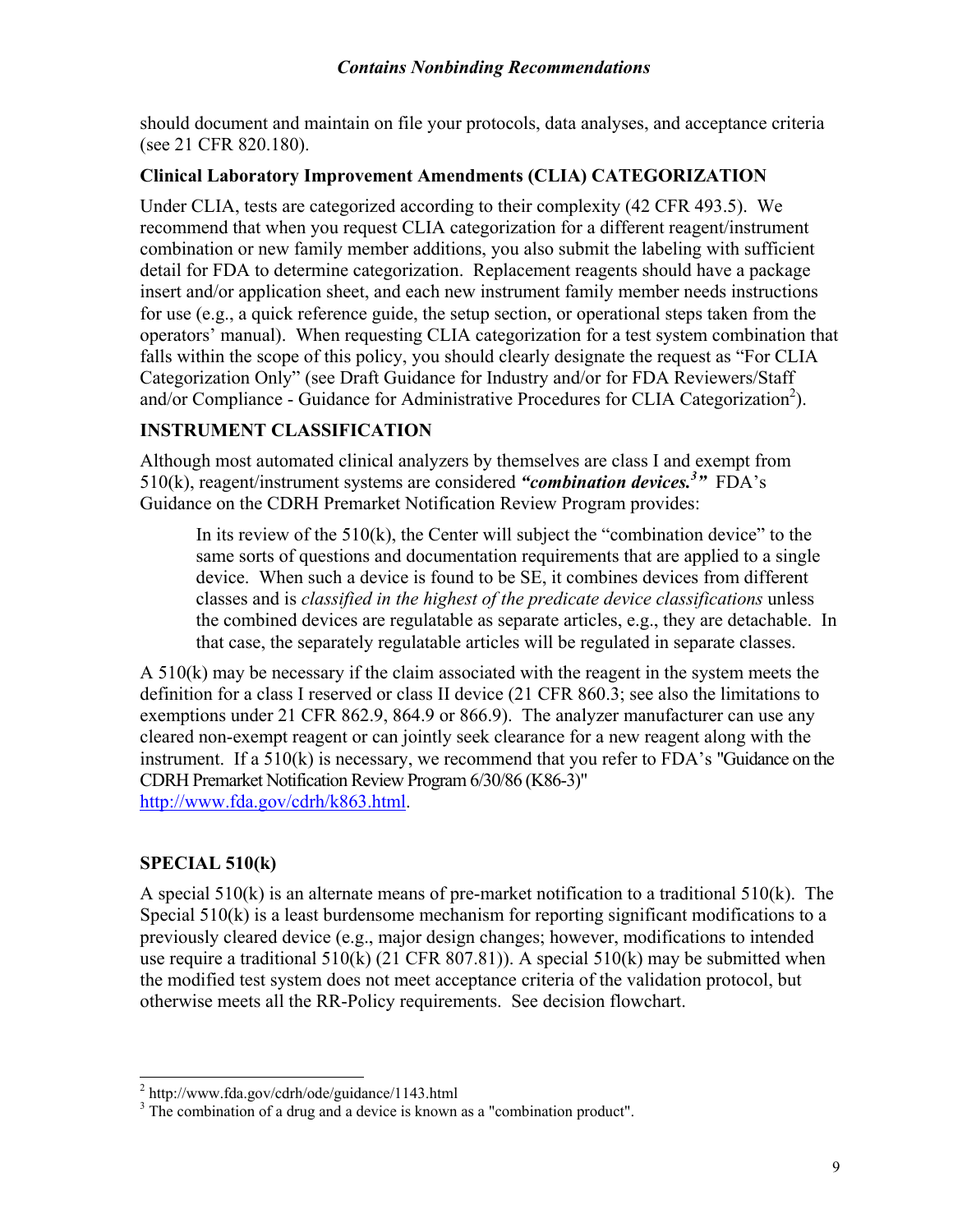should document and maintain on file your protocols, data analyses, and acceptance criteria (see 21 CFR 820.180).

#### **Clinical Laboratory Improvement Amendments (CLIA) CATEGORIZATION**

Under CLIA, tests are categorized according to their complexity (42 CFR 493.5). We recommend that when you request CLIA categorization for a different reagent/instrument combination or new family member additions, you also submit the labeling with sufficient detail for FDA to determine categorization. Replacement reagents should have a package insert and/or application sheet, and each new instrument family member needs instructions for use (e.g., a quick reference guide, the setup section, or operational steps taken from the operators' manual). When requesting CLIA categorization for a test system combination that falls within the scope of this policy, you should clearly designate the request as "For CLIA Categorization Only" (see Draft Guidance for Industry and/or for FDA Reviewers/Staff and/or Compliance - Guidance for Administrative Procedures for CLIA Categorization<sup>[2](#page-8-0)</sup>).

#### **INSTRUMENT CLASSIFICATION**

Although most automated clinical analyzers by themselves are class I and exempt from 510(k), reagent/instrument systems are considered *"combination devices[.3](#page-8-1) "* FDA's Guidance on the CDRH Premarket Notification Review Program provides:

In its review of the  $510(k)$ , the Center will subject the "combination device" to the same sorts of questions and documentation requirements that are applied to a single device. When such a device is found to be SE, it combines devices from different classes and is *classified in the highest of the predicate device classifications* unless the combined devices are regulatable as separate articles, e.g., they are detachable. In that case, the separately regulatable articles will be regulated in separate classes.

A 510(k) may be necessary if the claim associated with the reagent in the system meets the definition for a class I reserved or class II device (21 CFR 860.3; see also the limitations to exemptions under 21 CFR 862.9, 864.9 or 866.9). The analyzer manufacturer can use any cleared non-exempt reagent or can jointly seek clearance for a new reagent along with the instrument. If a 510(k) is necessary, we recommend that you refer to FDA's "Guidance on the CDRH Premarket Notification Review Program 6/30/86 (K86-3)" [http://www.fda.gov/cdrh/k863.html.](http://www.fda.gov/cdrh/k863.html)

#### **SPECIAL 510(k)**

 $\overline{a}$ 

A special 510(k) is an alternate means of pre-market notification to a traditional 510(k). The Special 510(k) is a least burdensome mechanism for reporting significant modifications to a previously cleared device (e.g., major design changes; however, modifications to intended use require a traditional  $510(k)$  (21 CFR 807.81)). A special  $510(k)$  may be submitted when the modified test system does not meet acceptance criteria of the validation protocol, but otherwise meets all the RR-Policy requirements. See decision flowchart.

<span id="page-8-0"></span><sup>&</sup>lt;sup>2</sup> http://www.fda.gov/cdrh/ode/guidance/1143.html

<span id="page-8-1"></span><sup>&</sup>lt;sup>3</sup> The combination of a drug and a device is known as a "combination product".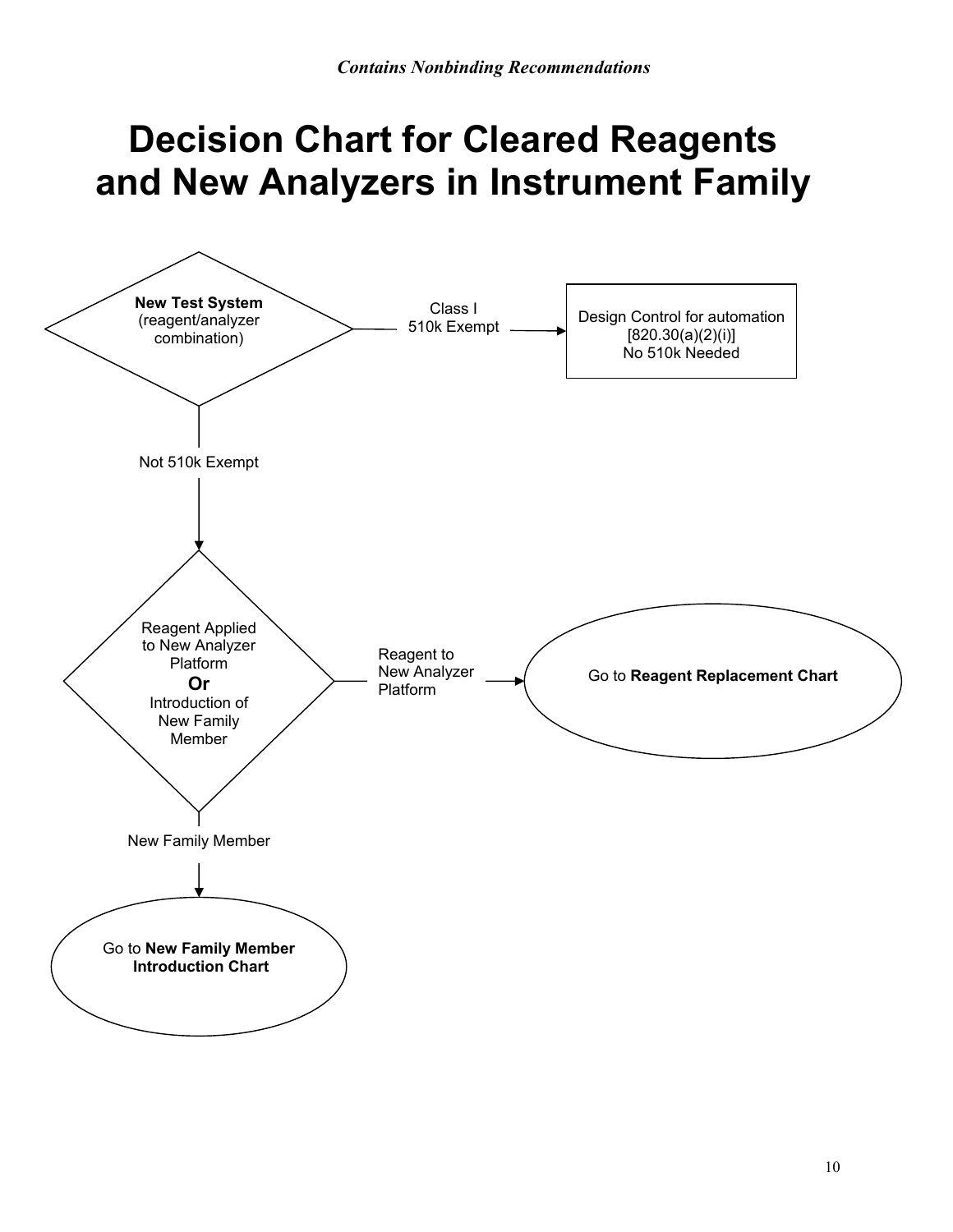## **Decision Chart for Cleared Reagents and New Analyzers in Instrument Family**

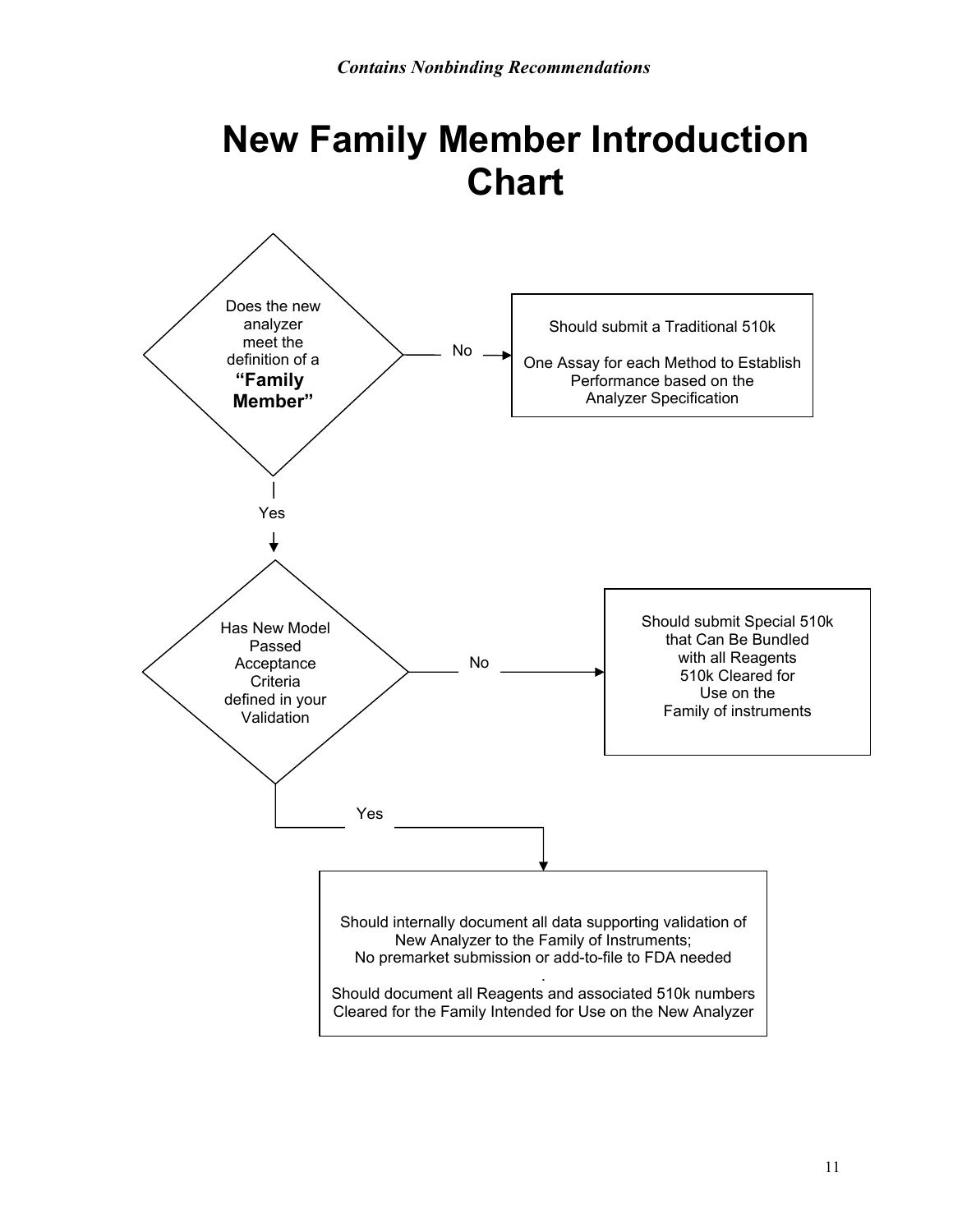## **New Family Member Introduction Chart**

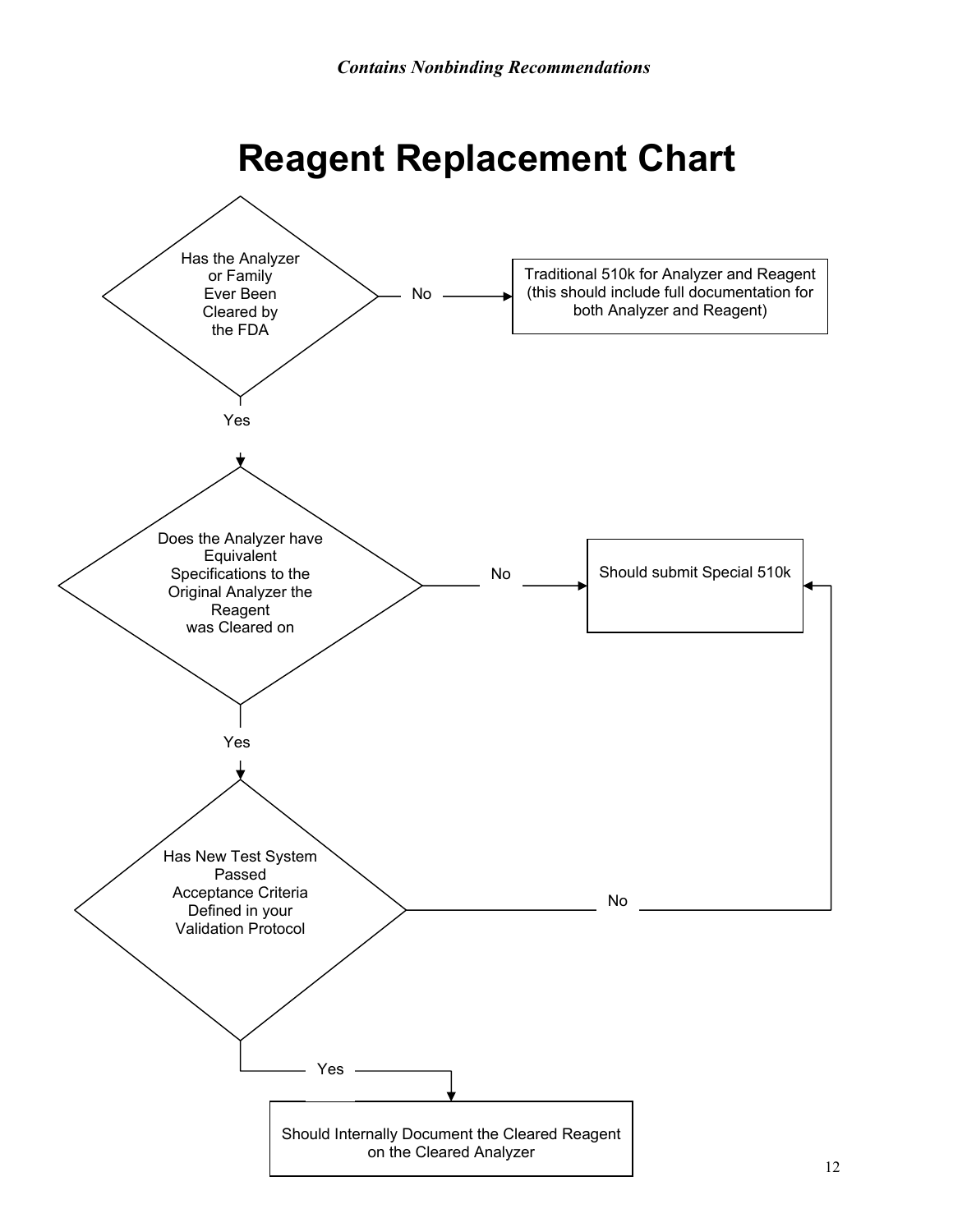